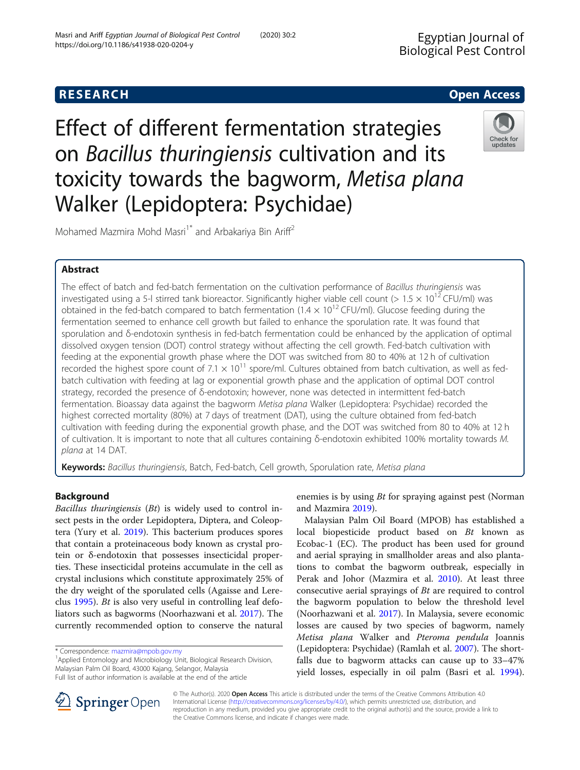# **RESEARCH CHE Open Access**

Effect of different fermentation strategies on Bacillus thuringiensis cultivation and its toxicity towards the bagworm, Metisa plana Walker (Lepidoptera: Psychidae)



Mohamed Mazmira Mohd Masri<sup>1\*</sup> and Arbakariya Bin Ariff<sup>2</sup>

### Abstract

The effect of batch and fed-batch fermentation on the cultivation performance of Bacillus thuringiensis was investigated using a 5-l stirred tank bioreactor. Significantly higher viable cell count ( $> 1.5 \times 10^{12}$  CFU/ml) was obtained in the fed-batch compared to batch fermentation  $(1.4 \times 10^{12} \text{ CFU/ml})$ . Glucose feeding during the fermentation seemed to enhance cell growth but failed to enhance the sporulation rate. It was found that sporulation and δ-endotoxin synthesis in fed-batch fermentation could be enhanced by the application of optimal dissolved oxygen tension (DOT) control strategy without affecting the cell growth. Fed-batch cultivation with feeding at the exponential growth phase where the DOT was switched from 80 to 40% at 12 h of cultivation recorded the highest spore count of 7.1  $\times$  10<sup>11</sup> spore/ml. Cultures obtained from batch cultivation, as well as fedbatch cultivation with feeding at lag or exponential growth phase and the application of optimal DOT control strategy, recorded the presence of δ-endotoxin; however, none was detected in intermittent fed-batch fermentation. Bioassay data against the bagworm Metisa plana Walker (Lepidoptera: Psychidae) recorded the highest corrected mortality (80%) at 7 days of treatment (DAT), using the culture obtained from fed-batch cultivation with feeding during the exponential growth phase, and the DOT was switched from 80 to 40% at 12 h of cultivation. It is important to note that all cultures containing δ-endotoxin exhibited 100% mortality towards M. plana at 14 DAT.

Keywords: Bacillus thuringiensis, Batch, Fed-batch, Cell growth, Sporulation rate, Metisa plana

### Background

Bacillus thuringiensis (Bt) is widely used to control insect pests in the order Lepidoptera, Diptera, and Coleoptera (Yury et al. [2019](#page-9-0)). This bacterium produces spores that contain a proteinaceous body known as crystal protein or δ-endotoxin that possesses insecticidal properties. These insecticidal proteins accumulate in the cell as crystal inclusions which constitute approximately 25% of the dry weight of the sporulated cells (Agaisse and Lereclus [1995\)](#page-9-0). Bt is also very useful in controlling leaf defoliators such as bagworms (Noorhazwani et al. [2017\)](#page-9-0). The currently recommended option to conserve the natural

<sup>1</sup> Applied Entomology and Microbiology Unit, Biological Research Division, Malaysian Palm Oil Board, 43000 Kajang, Selangor, Malaysia Full list of author information is available at the end of the article

enemies is by using Bt for spraying against pest (Norman and Mazmira [2019\)](#page-9-0).

Malaysian Palm Oil Board (MPOB) has established a local biopesticide product based on Bt known as Ecobac-1 (EC). The product has been used for ground and aerial spraying in smallholder areas and also plantations to combat the bagworm outbreak, especially in Perak and Johor (Mazmira et al. [2010\)](#page-9-0). At least three consecutive aerial sprayings of Bt are required to control the bagworm population to below the threshold level (Noorhazwani et al. [2017\)](#page-9-0). In Malaysia, severe economic losses are caused by two species of bagworm, namely Metisa plana Walker and Pteroma pendula Joannis (Lepidoptera: Psychidae) (Ramlah et al. [2007\)](#page-9-0). The shortfalls due to bagworm attacks can cause up to 33–47% yield losses, especially in oil palm (Basri et al. [1994](#page-9-0)).



© The Author(s). 2020 Open Access This article is distributed under the terms of the Creative Commons Attribution 4.0 International License ([http://creativecommons.org/licenses/by/4.0/\)](http://creativecommons.org/licenses/by/4.0/), which permits unrestricted use, distribution, and reproduction in any medium, provided you give appropriate credit to the original author(s) and the source, provide a link to the Creative Commons license, and indicate if changes were made.

<sup>\*</sup> Correspondence: [mazmira@mpob.gov.my](mailto:mazmira@mpob.gov.my) <sup>1</sup>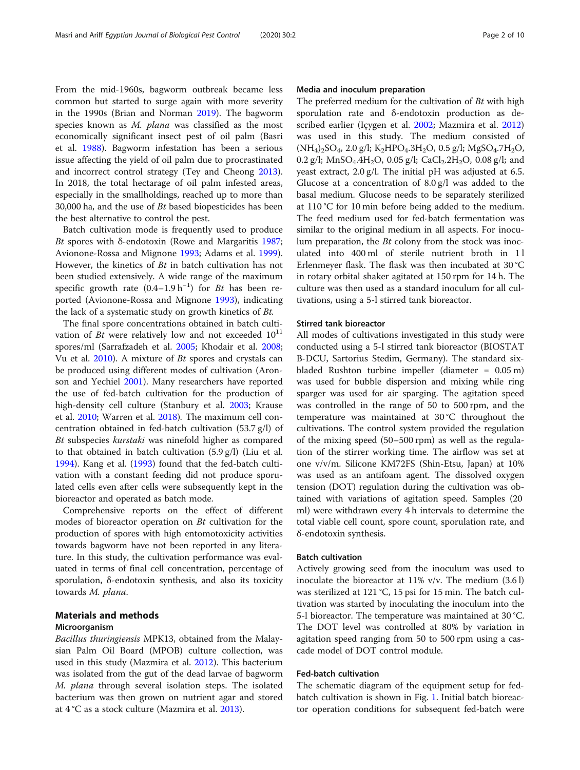From the mid-1960s, bagworm outbreak became less common but started to surge again with more severity in the 1990s (Brian and Norman [2019\)](#page-9-0). The bagworm species known as M. *plana* was classified as the most economically significant insect pest of oil palm (Basri et al. [1988](#page-9-0)). Bagworm infestation has been a serious issue affecting the yield of oil palm due to procrastinated and incorrect control strategy (Tey and Cheong [2013](#page-9-0)). In 2018, the total hectarage of oil palm infested areas, especially in the smallholdings, reached up to more than 30,000 ha, and the use of  $Bt$  based biopesticides has been the best alternative to control the pest.

Batch cultivation mode is frequently used to produce Bt spores with δ-endotoxin (Rowe and Margaritis [1987](#page-9-0); Avionone-Rossa and Mignone [1993;](#page-9-0) Adams et al. [1999](#page-9-0)). However, the kinetics of  $Bt$  in batch cultivation has not been studied extensively. A wide range of the maximum specific growth rate  $(0.4-1.9 h^{-1})$  for *Bt* has been reported (Avionone-Rossa and Mignone [1993\)](#page-9-0), indicating the lack of a systematic study on growth kinetics of Bt.

The final spore concentrations obtained in batch cultivation of *Bt* were relatively low and not exceeded  $10^{11}$ spores/ml (Sarrafzadeh et al. [2005;](#page-9-0) Khodair et al. [2008](#page-9-0); Vu et al. [2010\)](#page-9-0). A mixture of Bt spores and crystals can be produced using different modes of cultivation (Aronson and Yechiel [2001](#page-9-0)). Many researchers have reported the use of fed-batch cultivation for the production of high-density cell culture (Stanbury et al. [2003](#page-9-0); Krause et al. [2010](#page-9-0); Warren et al. [2018](#page-9-0)). The maximum cell concentration obtained in fed-batch cultivation (53.7 g/l) of Bt subspecies kurstaki was ninefold higher as compared to that obtained in batch cultivation (5.9 g/l) (Liu et al. [1994](#page-9-0)). Kang et al. ([1993\)](#page-9-0) found that the fed-batch cultivation with a constant feeding did not produce sporulated cells even after cells were subsequently kept in the bioreactor and operated as batch mode.

Comprehensive reports on the effect of different modes of bioreactor operation on Bt cultivation for the production of spores with high entomotoxicity activities towards bagworm have not been reported in any literature. In this study, the cultivation performance was evaluated in terms of final cell concentration, percentage of sporulation, δ-endotoxin synthesis, and also its toxicity towards M. plana.

### Materials and methods

### Microorganism

Bacillus thuringiensis MPK13, obtained from the Malaysian Palm Oil Board (MPOB) culture collection, was used in this study (Mazmira et al. [2012](#page-9-0)). This bacterium was isolated from the gut of the dead larvae of bagworm M. plana through several isolation steps. The isolated bacterium was then grown on nutrient agar and stored at 4 °C as a stock culture (Mazmira et al. [2013\)](#page-9-0).

### Media and inoculum preparation

The preferred medium for the cultivation of Bt with high sporulation rate and δ-endotoxin production as described earlier (Içygen et al. [2002;](#page-9-0) Mazmira et al. [2012](#page-9-0)) was used in this study. The medium consisted of  $(NH_4)_2SO_4$ , 2.0 g/l;  $K_2HPO_4.3H_2O$ , 0.5 g/l; MgSO<sub>4</sub>.7H<sub>2</sub>O, 0.2 g/l; MnSO<sub>4</sub>.4H<sub>2</sub>O, 0.05 g/l; CaCl<sub>2</sub>.2H<sub>2</sub>O, 0.08 g/l; and yeast extract, 2.0 g/l. The initial pH was adjusted at 6.5. Glucose at a concentration of 8.0 g/l was added to the basal medium. Glucose needs to be separately sterilized at 110 °C for 10 min before being added to the medium. The feed medium used for fed-batch fermentation was similar to the original medium in all aspects. For inoculum preparation, the Bt colony from the stock was inoculated into 400 ml of sterile nutrient broth in 1 l Erlenmeyer flask. The flask was then incubated at 30 °C in rotary orbital shaker agitated at 150 rpm for 14 h. The culture was then used as a standard inoculum for all cultivations, using a 5-l stirred tank bioreactor.

### Stirred tank bioreactor

All modes of cultivations investigated in this study were conducted using a 5-l stirred tank bioreactor (BIOSTAT B-DCU, Sartorius Stedim, Germany). The standard sixbladed Rushton turbine impeller (diameter = 0.05 m) was used for bubble dispersion and mixing while ring sparger was used for air sparging. The agitation speed was controlled in the range of 50 to 500 rpm, and the temperature was maintained at 30 °C throughout the cultivations. The control system provided the regulation of the mixing speed (50–500 rpm) as well as the regulation of the stirrer working time. The airflow was set at one v/v/m. Silicone KM72FS (Shin-Etsu, Japan) at 10% was used as an antifoam agent. The dissolved oxygen tension (DOT) regulation during the cultivation was obtained with variations of agitation speed. Samples (20 ml) were withdrawn every 4 h intervals to determine the total viable cell count, spore count, sporulation rate, and δ-endotoxin synthesis.

### Batch cultivation

Actively growing seed from the inoculum was used to inoculate the bioreactor at 11% v/v. The medium (3.6 l) was sterilized at 121 °C, 15 psi for 15 min. The batch cultivation was started by inoculating the inoculum into the 5-l bioreactor. The temperature was maintained at 30 °C. The DOT level was controlled at 80% by variation in agitation speed ranging from 50 to 500 rpm using a cascade model of DOT control module.

### Fed-batch cultivation

The schematic diagram of the equipment setup for fedbatch cultivation is shown in Fig. [1](#page-2-0). Initial batch bioreactor operation conditions for subsequent fed-batch were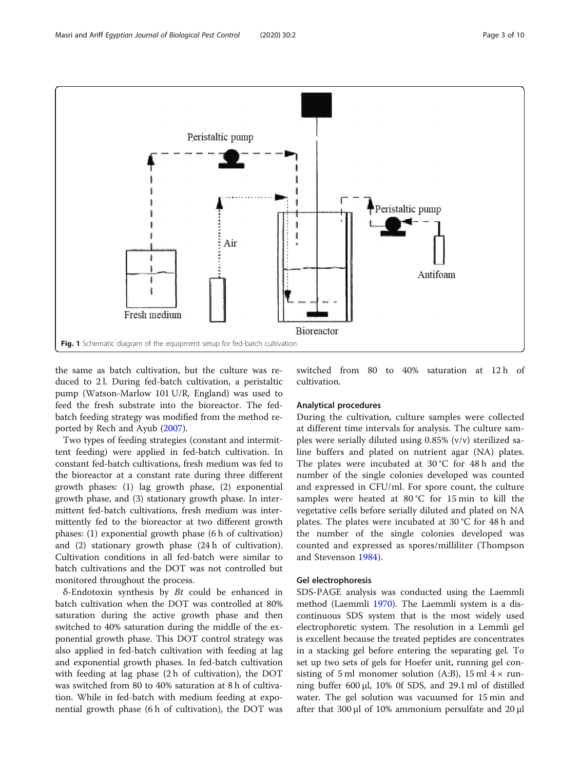<span id="page-2-0"></span>

the same as batch cultivation, but the culture was reduced to 2 l. During fed-batch cultivation, a peristaltic pump (Watson-Marlow 101 U/R, England) was used to feed the fresh substrate into the bioreactor. The fedbatch feeding strategy was modified from the method reported by Rech and Ayub ([2007](#page-9-0)).

Two types of feeding strategies (constant and intermittent feeding) were applied in fed-batch cultivation. In constant fed-batch cultivations, fresh medium was fed to the bioreactor at a constant rate during three different growth phases: (1) lag growth phase, (2) exponential growth phase, and (3) stationary growth phase. In intermittent fed-batch cultivations, fresh medium was intermittently fed to the bioreactor at two different growth phases: (1) exponential growth phase (6 h of cultivation) and (2) stationary growth phase (24 h of cultivation). Cultivation conditions in all fed-batch were similar to batch cultivations and the DOT was not controlled but monitored throughout the process.

 $\delta$ -Endotoxin synthesis by *Bt* could be enhanced in batch cultivation when the DOT was controlled at 80% saturation during the active growth phase and then switched to 40% saturation during the middle of the exponential growth phase. This DOT control strategy was also applied in fed-batch cultivation with feeding at lag and exponential growth phases. In fed-batch cultivation with feeding at lag phase (2 h of cultivation), the DOT was switched from 80 to 40% saturation at 8 h of cultivation. While in fed-batch with medium feeding at exponential growth phase (6 h of cultivation), the DOT was switched from 80 to 40% saturation at 12 h of cultivation.

### Analytical procedures

During the cultivation, culture samples were collected at different time intervals for analysis. The culture samples were serially diluted using 0.85% (v/v) sterilized saline buffers and plated on nutrient agar (NA) plates. The plates were incubated at  $30^{\circ}$ C for 48 h and the number of the single colonies developed was counted and expressed in CFU/ml. For spore count, the culture samples were heated at 80 °C for 15 min to kill the vegetative cells before serially diluted and plated on NA plates. The plates were incubated at 30 °C for 48 h and the number of the single colonies developed was counted and expressed as spores/milliliter (Thompson and Stevenson [1984\)](#page-9-0).

### Gel electrophoresis

SDS-PAGE analysis was conducted using the Laemmli method (Laemmli [1970\)](#page-9-0). The Laemmli system is a discontinuous SDS system that is the most widely used electrophoretic system. The resolution in a Lemmli gel is excellent because the treated peptides are concentrates in a stacking gel before entering the separating gel. To set up two sets of gels for Hoefer unit, running gel consisting of 5 ml monomer solution (A:B), 15 ml  $4 \times$  running buffer 600 μl, 10% 0f SDS, and 29.1 ml of distilled water. The gel solution was vacuumed for 15 min and after that 300 μl of 10% ammonium persulfate and 20 μl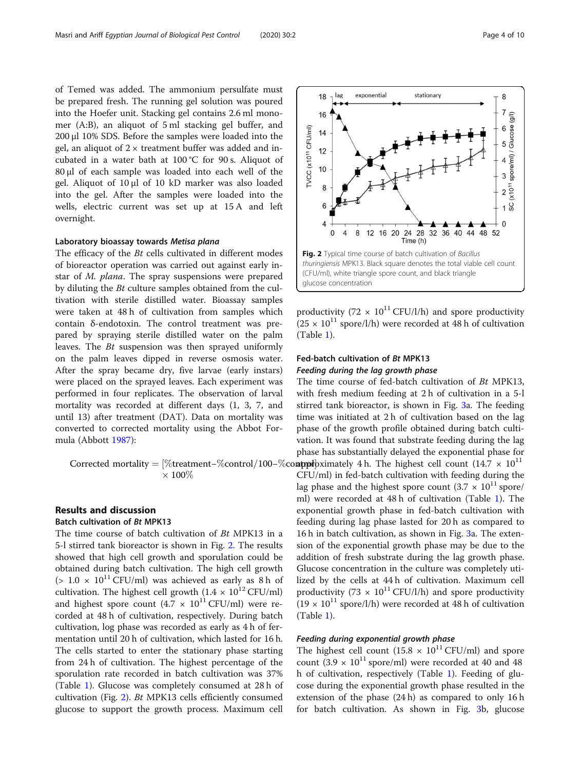of Temed was added. The ammonium persulfate must be prepared fresh. The running gel solution was poured into the Hoefer unit. Stacking gel contains 2.6 ml monomer (A:B), an aliquot of 5 ml stacking gel buffer, and 200 μl 10% SDS. Before the samples were loaded into the gel, an aliquot of  $2 \times$  treatment buffer was added and incubated in a water bath at 100 °C for 90 s. Aliquot of 80 μl of each sample was loaded into each well of the gel. Aliquot of 10 μl of 10 kD marker was also loaded into the gel. After the samples were loaded into the wells, electric current was set up at 15 A and left overnight.

### Laboratory bioassay towards Metisa plana

The efficacy of the *Bt* cells cultivated in different modes of bioreactor operation was carried out against early instar of M. plana. The spray suspensions were prepared by diluting the Bt culture samples obtained from the cultivation with sterile distilled water. Bioassay samples were taken at 48 h of cultivation from samples which contain δ-endotoxin. The control treatment was prepared by spraying sterile distilled water on the palm leaves. The Bt suspension was then sprayed uniformly on the palm leaves dipped in reverse osmosis water. After the spray became dry, five larvae (early instars) were placed on the sprayed leaves. Each experiment was performed in four replicates. The observation of larval mortality was recorded at different days (1, 3, 7, and until 13) after treatment (DAT). Data on mortality was converted to corrected mortality using the Abbot Formula (Abbott [1987](#page-9-0)):

 $\times$  100%

# Results and discussion

## Batch cultivation of Bt MPK13

The time course of batch cultivation of Bt MPK13 in a 5-l stirred tank bioreactor is shown in Fig. 2. The results showed that high cell growth and sporulation could be obtained during batch cultivation. The high cell growth  $(> 1.0 \times 10^{11} \text{CFU/ml})$  was achieved as early as 8 h of cultivation. The highest cell growth  $(1.4 \times 10^{12} \text{ CFU/ml})$ and highest spore count  $(4.7 \times 10^{11} \text{ CFU/ml})$  were recorded at 48 h of cultivation, respectively. During batch cultivation, log phase was recorded as early as 4 h of fermentation until 20 h of cultivation, which lasted for 16 h. The cells started to enter the stationary phase starting from 24 h of cultivation. The highest percentage of the sporulation rate recorded in batch cultivation was 37% (Table [1\)](#page-4-0). Glucose was completely consumed at 28 h of cultivation (Fig. 2). Bt MPK13 cells efficiently consumed glucose to support the growth process. Maximum cell



productivity (72  $\times$  10<sup>11</sup> CFU/l/h) and spore productivity  $(25 \times 10^{11} \text{ spore}/l/h)$  were recorded at 48 h of cultivation (Table [1\)](#page-4-0).

### Fed-batch cultivation of Bt MPK13 Feeding during the lag growth phase

Corrected mortality = [%treatment–%control/100–%controly 4 h. The highest cell count  $(14.7 \times 10^{11})$ The time course of fed-batch cultivation of Bt MPK13, with fresh medium feeding at 2 h of cultivation in a 5-l stirred tank bioreactor, is shown in Fig. [3a](#page-5-0). The feeding time was initiated at 2 h of cultivation based on the lag phase of the growth profile obtained during batch cultivation. It was found that substrate feeding during the lag phase has substantially delayed the exponential phase for CFU/ml) in fed-batch cultivation with feeding during the lag phase and the highest spore count  $(3.7 \times 10^{11} \text{ spc})$ ml) were recorded at 48 h of cultivation (Table [1\)](#page-4-0). The exponential growth phase in fed-batch cultivation with feeding during lag phase lasted for 20 h as compared to 16 h in batch cultivation, as shown in Fig. [3a](#page-5-0). The extension of the exponential growth phase may be due to the addition of fresh substrate during the lag growth phase. Glucose concentration in the culture was completely utilized by the cells at 44 h of cultivation. Maximum cell productivity (73  $\times$  10<sup>11</sup> CFU/l/h) and spore productivity  $(19 \times 10^{11} \text{ spore/l/h})$  were recorded at 48 h of cultivation (Table [1\)](#page-4-0).

### Feeding during exponential growth phase

The highest cell count (15.8  $\times$  10<sup>11</sup> CFU/ml) and spore count (3.9  $\times$  10<sup>11</sup> spore/ml) were recorded at 40 and 48 h of cultivation, respectively (Table [1](#page-4-0)). Feeding of glucose during the exponential growth phase resulted in the extension of the phase (24 h) as compared to only 16 h for batch cultivation. As shown in Fig. [3](#page-5-0)b, glucose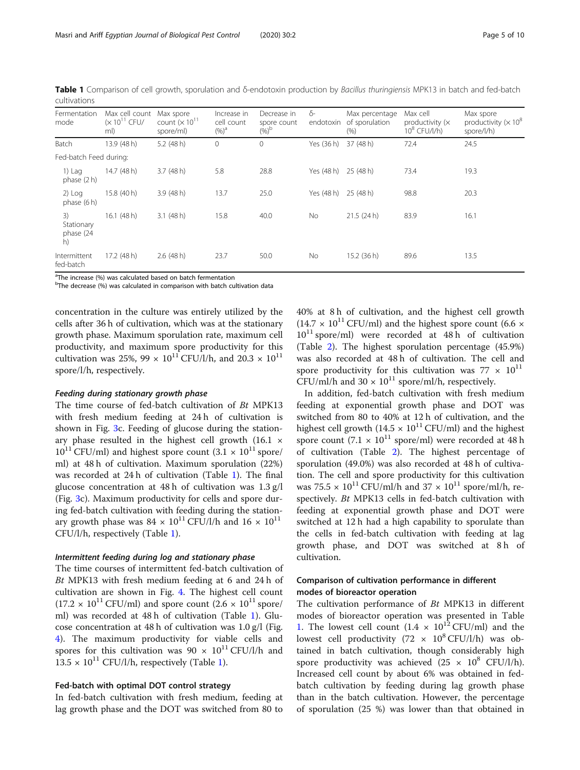| Fermentation<br>mode                | Max cell count<br>$(x 10^{11}$ CFU/<br>ml) | Max spore<br>count $(x 1011$<br>spore/ml) | Increase in<br>cell count<br>$(\%)^a$ | Decrease in<br>spore count<br>$(y_0)^{\rm b}$ | δ-<br>endotoxin | Max percentage<br>of sporulation<br>(% ) | Max cell<br>productivity $(x$<br>$10^8$ CFU/l/h) | Max spore<br>productivity ( $\times 10^8$ )<br>spore/l/h) |
|-------------------------------------|--------------------------------------------|-------------------------------------------|---------------------------------------|-----------------------------------------------|-----------------|------------------------------------------|--------------------------------------------------|-----------------------------------------------------------|
| Batch                               | 13.9 (48 h)                                | $5.2$ (48 h)                              | 0                                     | 0                                             | Yes (36 h)      | 37 (48 h)                                | 72.4                                             | 24.5                                                      |
| Fed-batch Feed during:              |                                            |                                           |                                       |                                               |                 |                                          |                                                  |                                                           |
| $1)$ Lag<br>phase $(2 h)$           | 14.7 (48 h)                                | 3.7(48 h)                                 | 5.8                                   | 28.8                                          | Yes (48 h)      | 25 (48 h)                                | 73.4                                             | 19.3                                                      |
| $2)$ Log<br>phase (6 h)             | 15.8 (40 h)                                | 3.9(48 h)                                 | 13.7                                  | 25.0                                          | Yes (48 h)      | 25 (48 h)                                | 98.8                                             | 20.3                                                      |
| 3)<br>Stationary<br>phase (24<br>h) | $16.1$ (48 h)                              | $3.1$ (48 h)                              | 15.8                                  | 40.0                                          | No.             | 21.5(24h)                                | 83.9                                             | 16.1                                                      |
| Intermittent<br>fed-batch           | $17.2$ (48 h)                              | $2.6$ (48 h)                              | 23.7                                  | 50.0                                          | No              | 15.2(36 h)                               | 89.6                                             | 13.5                                                      |

<span id="page-4-0"></span>Table 1 Comparison of cell growth, sporulation and δ-endotoxin production by Bacillus thuringiensis MPK13 in batch and fed-batch cultivations

<sup>a</sup>The increase (%) was calculated based on batch fermentation

<sup>b</sup>The decrease (%) was calculated in comparison with batch cultivation data

concentration in the culture was entirely utilized by the cells after 36 h of cultivation, which was at the stationary growth phase. Maximum sporulation rate, maximum cell productivity, and maximum spore productivity for this cultivation was 25%, 99  $\times$  10<sup>11</sup> CFU/l/h, and 20.3  $\times$  10<sup>11</sup> spore/l/h, respectively.

### Feeding during stationary growth phase

The time course of fed-batch cultivation of Bt MPK13 with fresh medium feeding at 24 h of cultivation is shown in Fig. [3](#page-5-0)c. Feeding of glucose during the stationary phase resulted in the highest cell growth (16.1 ×  $10^{11}$  CFU/ml) and highest spore count  $(3.1 \times 10^{11}$  spore/ ml) at 48 h of cultivation. Maximum sporulation (22%) was recorded at 24 h of cultivation (Table 1). The final glucose concentration at 48 h of cultivation was 1.3 g/l (Fig. [3](#page-5-0)c). Maximum productivity for cells and spore during fed-batch cultivation with feeding during the stationary growth phase was  $84 \times 10^{11}$  CFU/l/h and  $16 \times 10^{11}$ CFU/l/h, respectively (Table 1).

### Intermittent feeding during log and stationary phase

The time courses of intermittent fed-batch cultivation of Bt MPK13 with fresh medium feeding at 6 and 24 h of cultivation are shown in Fig. [4](#page-5-0). The highest cell count  $(17.2 \times 10^{11} \text{ CFU/ml})$  and spore count  $(2.6 \times 10^{11} \text{ spore/})$ ml) was recorded at 48 h of cultivation (Table 1). Glucose concentration at 48 h of cultivation was 1.0 g/l (Fig. [4\)](#page-5-0). The maximum productivity for viable cells and spores for this cultivation was  $90 \times 10^{11}$  CFU/l/h and  $13.5 \times 10^{11}$  CFU/l/h, respectively (Table 1).

### Fed-batch with optimal DOT control strategy

In fed-batch cultivation with fresh medium, feeding at lag growth phase and the DOT was switched from 80 to 40% at 8 h of cultivation, and the highest cell growth  $(14.7 \times 10^{11} \text{ CFU/ml})$  and the highest spore count (6.6  $\times$  $10^{11}$  spore/ml) were recorded at 48 h of cultivation (Table [2](#page-6-0)). The highest sporulation percentage (45.9%) was also recorded at 48 h of cultivation. The cell and spore productivity for this cultivation was  $77 \times 10^{11}$ CFU/ml/h and  $30 \times 10^{11}$  spore/ml/h, respectively.

In addition, fed-batch cultivation with fresh medium feeding at exponential growth phase and DOT was switched from 80 to 40% at 12 h of cultivation, and the highest cell growth  $(14.5 \times 10^{11} \text{ CFU/ml})$  and the highest spore count  $(7.1 \times 10^{11} \text{ spore/ml})$  were recorded at 48 h of cultivation (Table [2\)](#page-6-0). The highest percentage of sporulation (49.0%) was also recorded at 48 h of cultivation. The cell and spore productivity for this cultivation was 75.5  $\times$  10<sup>11</sup> CFU/ml/h and 37  $\times$  10<sup>11</sup> spore/ml/h, respectively. Bt MPK13 cells in fed-batch cultivation with feeding at exponential growth phase and DOT were switched at 12 h had a high capability to sporulate than the cells in fed-batch cultivation with feeding at lag growth phase, and DOT was switched at 8h of cultivation.

### Comparison of cultivation performance in different modes of bioreactor operation

The cultivation performance of Bt MPK13 in different modes of bioreactor operation was presented in Table 1. The lowest cell count  $(1.4 \times 10^{12} \text{CFU/ml})$  and the lowest cell productivity  $(72 \times 10^8 \text{ CFU/l/h})$  was obtained in batch cultivation, though considerably high spore productivity was achieved  $(25 \times 10^8 \text{ CFU/l/h}).$ Increased cell count by about 6% was obtained in fedbatch cultivation by feeding during lag growth phase than in the batch cultivation. However, the percentage of sporulation (25 %) was lower than that obtained in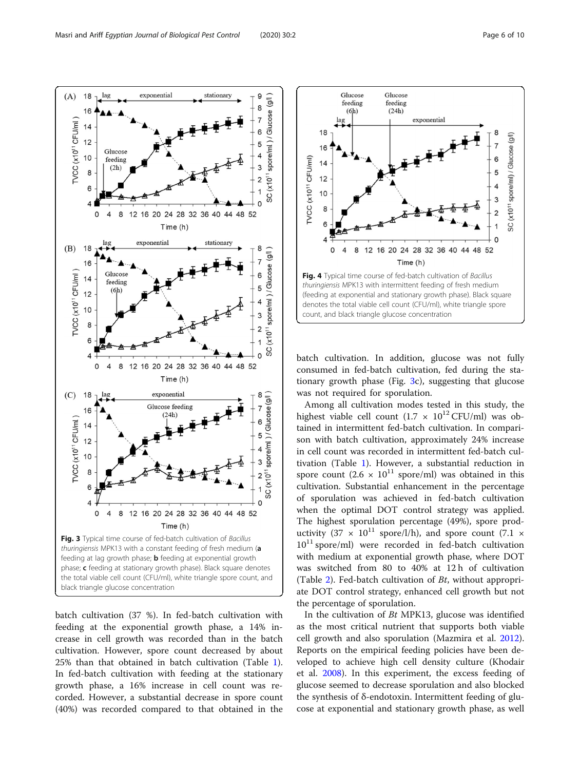<span id="page-5-0"></span>

batch cultivation (37 %). In fed-batch cultivation with feeding at the exponential growth phase, a 14% increase in cell growth was recorded than in the batch cultivation. However, spore count decreased by about 25% than that obtained in batch cultivation (Table [1](#page-4-0)). In fed-batch cultivation with feeding at the stationary growth phase, a 16% increase in cell count was recorded. However, a substantial decrease in spore count (40%) was recorded compared to that obtained in the



batch cultivation. In addition, glucose was not fully consumed in fed-batch cultivation, fed during the stationary growth phase (Fig. 3c), suggesting that glucose was not required for sporulation.

Among all cultivation modes tested in this study, the highest viable cell count  $(1.7 \times 10^{12} \text{ CFU/ml})$  was obtained in intermittent fed-batch cultivation. In comparison with batch cultivation, approximately 24% increase in cell count was recorded in intermittent fed-batch cultivation (Table [1\)](#page-4-0). However, a substantial reduction in spore count  $(2.6 \times 10^{11} \text{ spore/ml})$  was obtained in this cultivation. Substantial enhancement in the percentage of sporulation was achieved in fed-batch cultivation when the optimal DOT control strategy was applied. The highest sporulation percentage (49%), spore productivity (37  $\times$  10<sup>11</sup> spore/l/h), and spore count (7.1  $\times$  $10^{11}$  spore/ml) were recorded in fed-batch cultivation with medium at exponential growth phase, where DOT was switched from 80 to 40% at 12 h of cultivation (Table [2](#page-6-0)). Fed-batch cultivation of Bt, without appropriate DOT control strategy, enhanced cell growth but not the percentage of sporulation.

In the cultivation of Bt MPK13, glucose was identified as the most critical nutrient that supports both viable cell growth and also sporulation (Mazmira et al. [2012](#page-9-0)). Reports on the empirical feeding policies have been developed to achieve high cell density culture (Khodair et al. [2008\)](#page-9-0). In this experiment, the excess feeding of glucose seemed to decrease sporulation and also blocked the synthesis of δ-endotoxin. Intermittent feeding of glucose at exponential and stationary growth phase, as well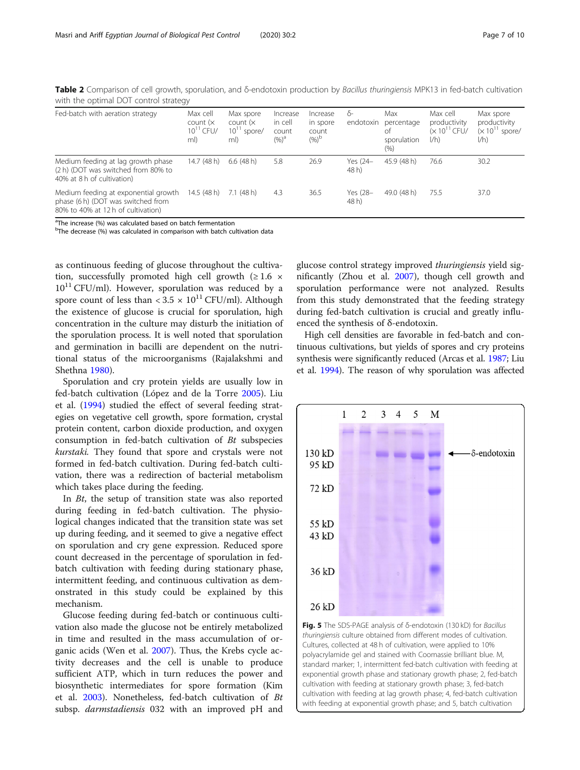<span id="page-6-0"></span>Table 2 Comparison of cell growth, sporulation, and δ-endotoxin production by Bacillus thuringiensis MPK13 in fed-batch cultivation with the optimal DOT control strategy

| Fed-batch with aeration strategy                                                                                 | Max cell<br>count $(x)$<br>$10^{11}$ CFU/<br>ml) | Max spore<br>count $(x)$<br>$10^{11}$ spore/<br>ml) | Increase<br>in cell<br>count<br>$(\%)^a$ | Increase<br>in spore<br>count<br>$(%)^{\circ}$ | δ-<br>endotoxin   | Max<br>percentage<br>оf<br>sporulation<br>(% ) | Max cell<br>productivity<br>$(x 10^{11}$ CFU/<br>1/h | Max spore<br>productivity<br>$(x 1011$ spore/<br>1/h |
|------------------------------------------------------------------------------------------------------------------|--------------------------------------------------|-----------------------------------------------------|------------------------------------------|------------------------------------------------|-------------------|------------------------------------------------|------------------------------------------------------|------------------------------------------------------|
| Medium feeding at lag growth phase<br>(2 h) (DOT was switched from 80% to<br>40% at 8 h of cultivation)          | 14.7 (48 h)                                      | 6.6(48h)                                            | 5.8                                      | 26.9                                           | Yes (24-<br>48 h) | 45.9 (48 h)                                    | 76.6                                                 | 30.2                                                 |
| Medium feeding at exponential growth<br>phase (6 h) (DOT was switched from<br>80% to 40% at 12 h of cultivation) | 14.5(48 h)                                       | $7.1$ (48 h)                                        | 4.3                                      | 36.5                                           | Yes (28-<br>48 h) | 49.0 (48 h)                                    | 75.5                                                 | 37.0                                                 |

The increase (%) was calculated based on batch fermentation

<sup>b</sup>The decrease (%) was calculated in comparison with batch cultivation data

as continuous feeding of glucose throughout the cultivation, successfully promoted high cell growth ( $\geq 1.6 \times$  $10^{11}$  CFU/ml). However, sporulation was reduced by a spore count of less than  $\langle 3.5 \times 10^{11} \text{ CFU/ml} \rangle$ . Although the existence of glucose is crucial for sporulation, high concentration in the culture may disturb the initiation of the sporulation process. It is well noted that sporulation and germination in bacilli are dependent on the nutritional status of the microorganisms (Rajalakshmi and Shethna [1980](#page-9-0)).

Sporulation and cry protein yields are usually low in fed-batch cultivation (López and de la Torre [2005\)](#page-9-0). Liu et al. [\(1994\)](#page-9-0) studied the effect of several feeding strategies on vegetative cell growth, spore formation, crystal protein content, carbon dioxide production, and oxygen consumption in fed-batch cultivation of Bt subspecies kurstaki. They found that spore and crystals were not formed in fed-batch cultivation. During fed-batch cultivation, there was a redirection of bacterial metabolism which takes place during the feeding.

In Bt, the setup of transition state was also reported during feeding in fed-batch cultivation. The physiological changes indicated that the transition state was set up during feeding, and it seemed to give a negative effect on sporulation and cry gene expression. Reduced spore count decreased in the percentage of sporulation in fedbatch cultivation with feeding during stationary phase, intermittent feeding, and continuous cultivation as demonstrated in this study could be explained by this mechanism.

Glucose feeding during fed-batch or continuous cultivation also made the glucose not be entirely metabolized in time and resulted in the mass accumulation of organic acids (Wen et al. [2007](#page-9-0)). Thus, the Krebs cycle activity decreases and the cell is unable to produce sufficient ATP, which in turn reduces the power and biosynthetic intermediates for spore formation (Kim et al. [2003\)](#page-9-0). Nonetheless, fed-batch cultivation of Bt subsp. *darmstadiensis* 032 with an improved pH and

glucose control strategy improved thuringiensis yield significantly (Zhou et al. [2007](#page-9-0)), though cell growth and sporulation performance were not analyzed. Results from this study demonstrated that the feeding strategy during fed-batch cultivation is crucial and greatly influenced the synthesis of δ-endotoxin.

High cell densities are favorable in fed-batch and continuous cultivations, but yields of spores and cry proteins synthesis were significantly reduced (Arcas et al. [1987](#page-9-0); Liu et al. [1994](#page-9-0)). The reason of why sporulation was affected



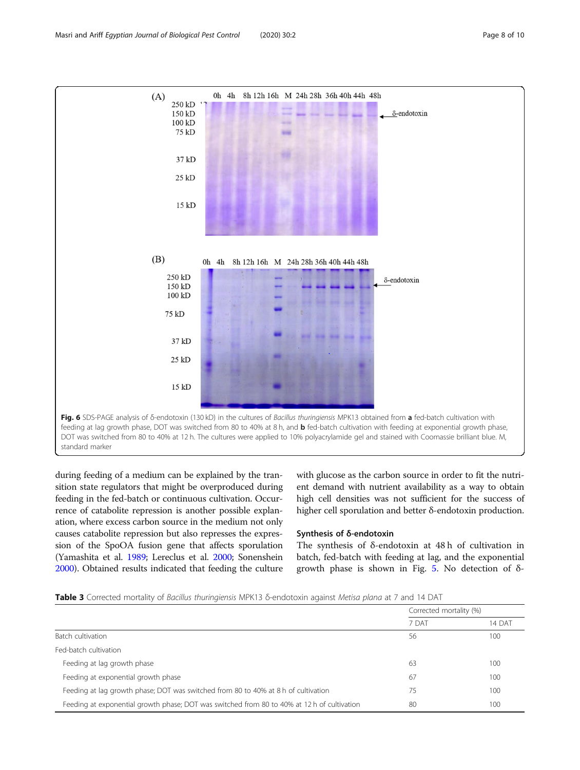<span id="page-7-0"></span>

during feeding of a medium can be explained by the transition state regulators that might be overproduced during feeding in the fed-batch or continuous cultivation. Occurrence of catabolite repression is another possible explanation, where excess carbon source in the medium not only causes catabolite repression but also represses the expression of the SpoOA fusion gene that affects sporulation (Yamashita et al. [1989;](#page-9-0) Lereclus et al. [2000](#page-9-0); Sonenshein [2000\)](#page-9-0). Obtained results indicated that feeding the culture with glucose as the carbon source in order to fit the nutrient demand with nutrient availability as a way to obtain high cell densities was not sufficient for the success of higher cell sporulation and better δ-endotoxin production.

### Synthesis of δ-endotoxin

The synthesis of δ-endotoxin at 48 h of cultivation in batch, fed-batch with feeding at lag, and the exponential growth phase is shown in Fig. [5](#page-6-0). No detection of δ-

|                                                                                             | Corrected mortality (%) |        |  |
|---------------------------------------------------------------------------------------------|-------------------------|--------|--|
|                                                                                             | 7 DAT                   | 14 DAT |  |
| Batch cultivation                                                                           | 56                      | 100    |  |
| Fed-batch cultivation                                                                       |                         |        |  |
| Feeding at lag growth phase                                                                 | 63                      | 100    |  |
| Feeding at exponential growth phase                                                         | 67                      | 100    |  |
| Feeding at lag growth phase; DOT was switched from 80 to 40% at 8 h of cultivation          | 75                      | 100    |  |
| Feeding at exponential growth phase; DOT was switched from 80 to 40% at 12 h of cultivation | -80                     | 100    |  |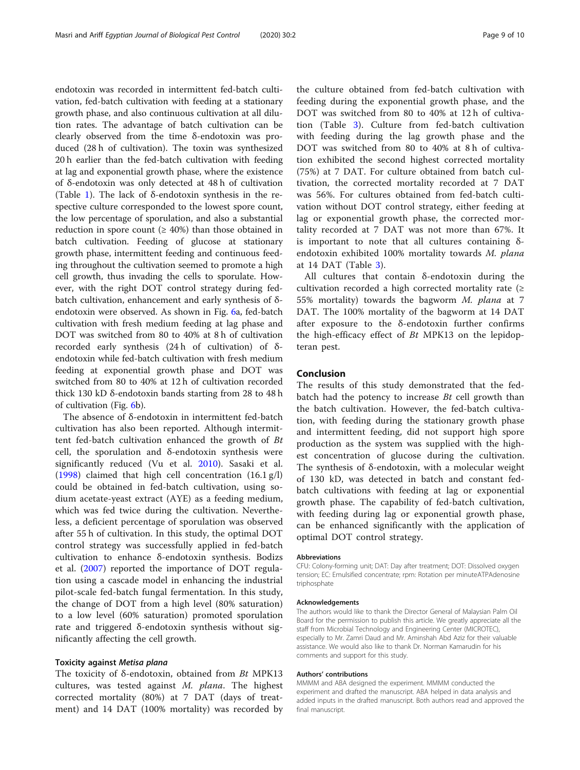endotoxin was recorded in intermittent fed-batch cultivation, fed-batch cultivation with feeding at a stationary growth phase, and also continuous cultivation at all dilution rates. The advantage of batch cultivation can be clearly observed from the time δ-endotoxin was produced (28 h of cultivation). The toxin was synthesized 20 h earlier than the fed-batch cultivation with feeding at lag and exponential growth phase, where the existence of δ-endotoxin was only detected at 48 h of cultivation (Table [1](#page-4-0)). The lack of δ-endotoxin synthesis in the respective culture corresponded to the lowest spore count, the low percentage of sporulation, and also a substantial reduction in spore count ( $\geq 40\%$ ) than those obtained in batch cultivation. Feeding of glucose at stationary growth phase, intermittent feeding and continuous feeding throughout the cultivation seemed to promote a high cell growth, thus invading the cells to sporulate. However, with the right DOT control strategy during fedbatch cultivation, enhancement and early synthesis of δendotoxin were observed. As shown in Fig. [6](#page-7-0)a, fed-batch cultivation with fresh medium feeding at lag phase and DOT was switched from 80 to 40% at 8 h of cultivation recorded early synthesis (24 h of cultivation) of δendotoxin while fed-batch cultivation with fresh medium feeding at exponential growth phase and DOT was switched from 80 to 40% at 12 h of cultivation recorded thick 130 kD δ-endotoxin bands starting from 28 to 48 h of cultivation (Fig. [6](#page-7-0)b).

The absence of δ-endotoxin in intermittent fed-batch cultivation has also been reported. Although intermittent fed-batch cultivation enhanced the growth of Bt cell, the sporulation and δ-endotoxin synthesis were significantly reduced (Vu et al. [2010\)](#page-9-0). Sasaki et al. ([1998\)](#page-9-0) claimed that high cell concentration (16.1 g/l) could be obtained in fed-batch cultivation, using sodium acetate-yeast extract (AYE) as a feeding medium, which was fed twice during the cultivation. Nevertheless, a deficient percentage of sporulation was observed after 55 h of cultivation. In this study, the optimal DOT control strategy was successfully applied in fed-batch cultivation to enhance δ-endotoxin synthesis. Bodizs et al. ([2007\)](#page-9-0) reported the importance of DOT regulation using a cascade model in enhancing the industrial pilot-scale fed-batch fungal fermentation. In this study, the change of DOT from a high level (80% saturation) to a low level (60% saturation) promoted sporulation rate and triggered δ-endotoxin synthesis without significantly affecting the cell growth.

### Toxicity against Metisa plana

The toxicity of  $\delta$ -endotoxin, obtained from *Bt* MPK13 cultures, was tested against M. plana. The highest corrected mortality (80%) at 7 DAT (days of treatment) and 14 DAT (100% mortality) was recorded by

the culture obtained from fed-batch cultivation with feeding during the exponential growth phase, and the DOT was switched from 80 to 40% at 12 h of cultivation (Table [3\)](#page-7-0). Culture from fed-batch cultivation with feeding during the lag growth phase and the DOT was switched from 80 to 40% at 8 h of cultivation exhibited the second highest corrected mortality (75%) at 7 DAT. For culture obtained from batch cultivation, the corrected mortality recorded at 7 DAT was 56%. For cultures obtained from fed-batch cultivation without DOT control strategy, either feeding at lag or exponential growth phase, the corrected mortality recorded at 7 DAT was not more than 67%. It is important to note that all cultures containing δendotoxin exhibited 100% mortality towards M. plana at 14 DAT (Table [3\)](#page-7-0).

All cultures that contain δ-endotoxin during the cultivation recorded a high corrected mortality rate  $(≥$ 55% mortality) towards the bagworm M. plana at 7 DAT. The 100% mortality of the bagworm at 14 DAT after exposure to the δ-endotoxin further confirms the high-efficacy effect of  $Bt$  MPK13 on the lepidopteran pest.

### Conclusion

The results of this study demonstrated that the fedbatch had the potency to increase  $Bt$  cell growth than the batch cultivation. However, the fed-batch cultivation, with feeding during the stationary growth phase and intermittent feeding, did not support high spore production as the system was supplied with the highest concentration of glucose during the cultivation. The synthesis of δ-endotoxin, with a molecular weight of 130 kD, was detected in batch and constant fedbatch cultivations with feeding at lag or exponential growth phase. The capability of fed-batch cultivation, with feeding during lag or exponential growth phase, can be enhanced significantly with the application of optimal DOT control strategy.

#### Abbreviations

CFU: Colony-forming unit; DAT: Day after treatment; DOT: Dissolved oxygen tension; EC: Emulsified concentrate; rpm: Rotation per minuteATPAdenosine triphosphate

#### Acknowledgements

The authors would like to thank the Director General of Malaysian Palm Oil Board for the permission to publish this article. We greatly appreciate all the staff from Microbial Technology and Engineering Center (MICROTEC), especially to Mr. Zamri Daud and Mr. Aminshah Abd Aziz for their valuable assistance. We would also like to thank Dr. Norman Kamarudin for his comments and support for this study.

### Authors' contributions

MMMM and ABA designed the experiment. MMMM conducted the experiment and drafted the manuscript. ABA helped in data analysis and added inputs in the drafted manuscript. Both authors read and approved the final manuscript.